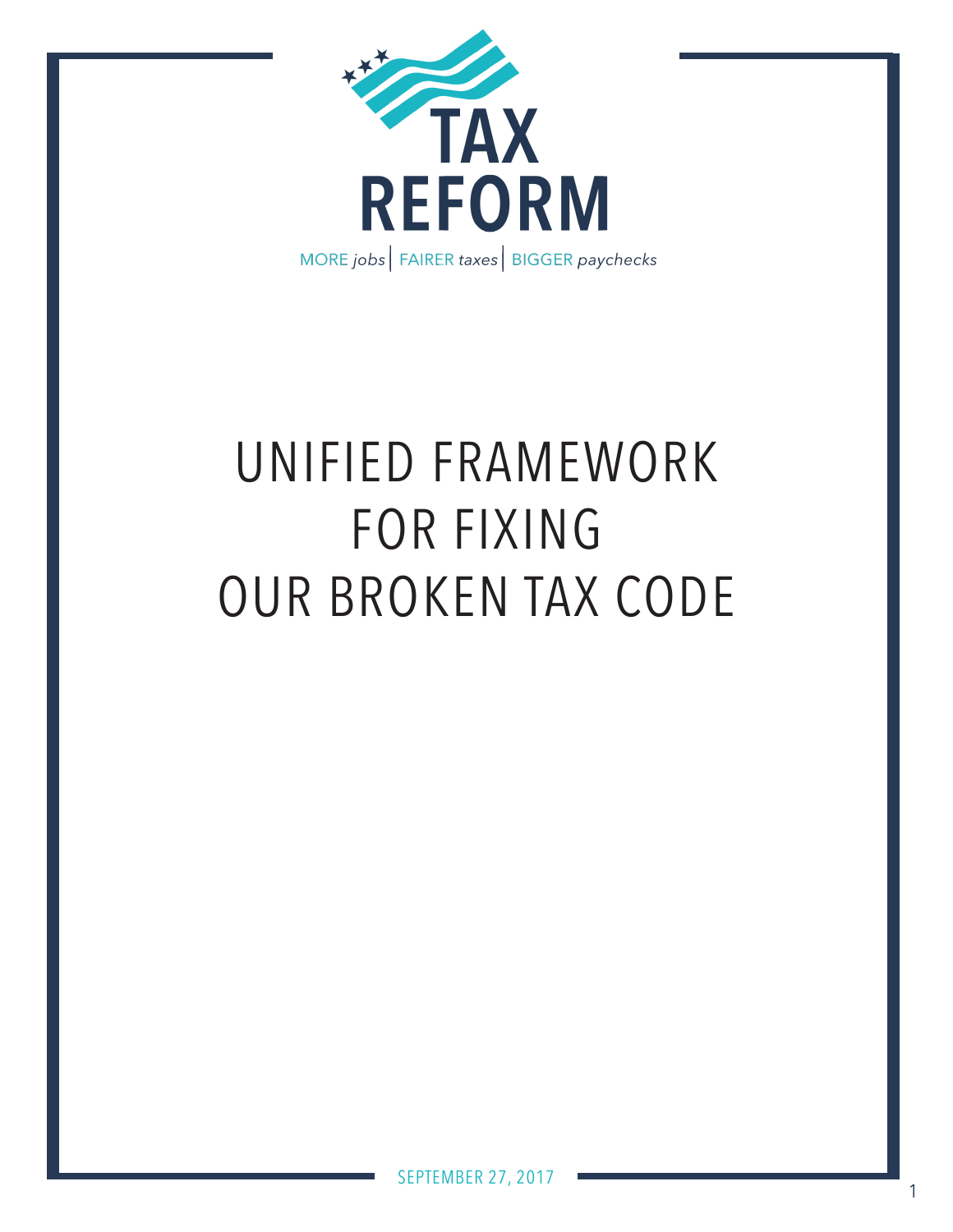

# UNIFIED FRAMEWORK FOR FIXING OUR BROKEN TAX CODE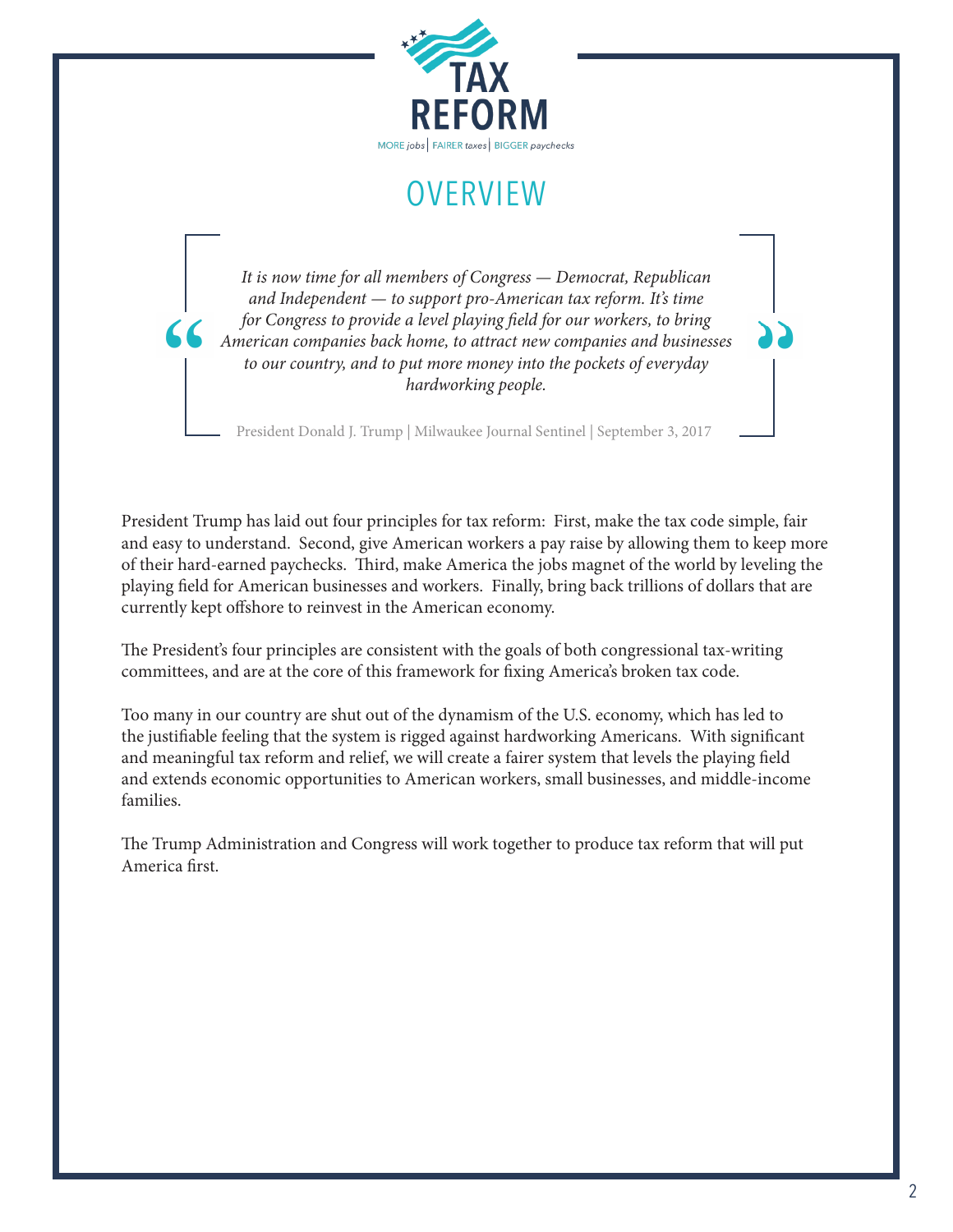

# OVERVIEW

*It is now time for all members of Congress — Democrat, Republican and Independent — to support pro-American tax reform. It's time for Congress to provide a level playing field for our workers, to bring American companies back home, to attract new companies and businesses to our country, and to put more money into the pockets of everyday hardworking people.*

President Donald J. Trump | Milwaukee Journal Sentinel | September 3, 2017

President Trump has laid out four principles for tax reform: First, make the tax code simple, fair and easy to understand. Second, give American workers a pay raise by allowing them to keep more of their hard-earned paychecks. Third, make America the jobs magnet of the world by leveling the playing field for American businesses and workers. Finally, bring back trillions of dollars that are currently kept offshore to reinvest in the American economy.

The President's four principles are consistent with the goals of both congressional tax-writing committees, and are at the core of this framework for fixing America's broken tax code.

Too many in our country are shut out of the dynamism of the U.S. economy, which has led to the justifiable feeling that the system is rigged against hardworking Americans. With significant and meaningful tax reform and relief, we will create a fairer system that levels the playing field and extends economic opportunities to American workers, small businesses, and middle-income families.

The Trump Administration and Congress will work together to produce tax reform that will put America first.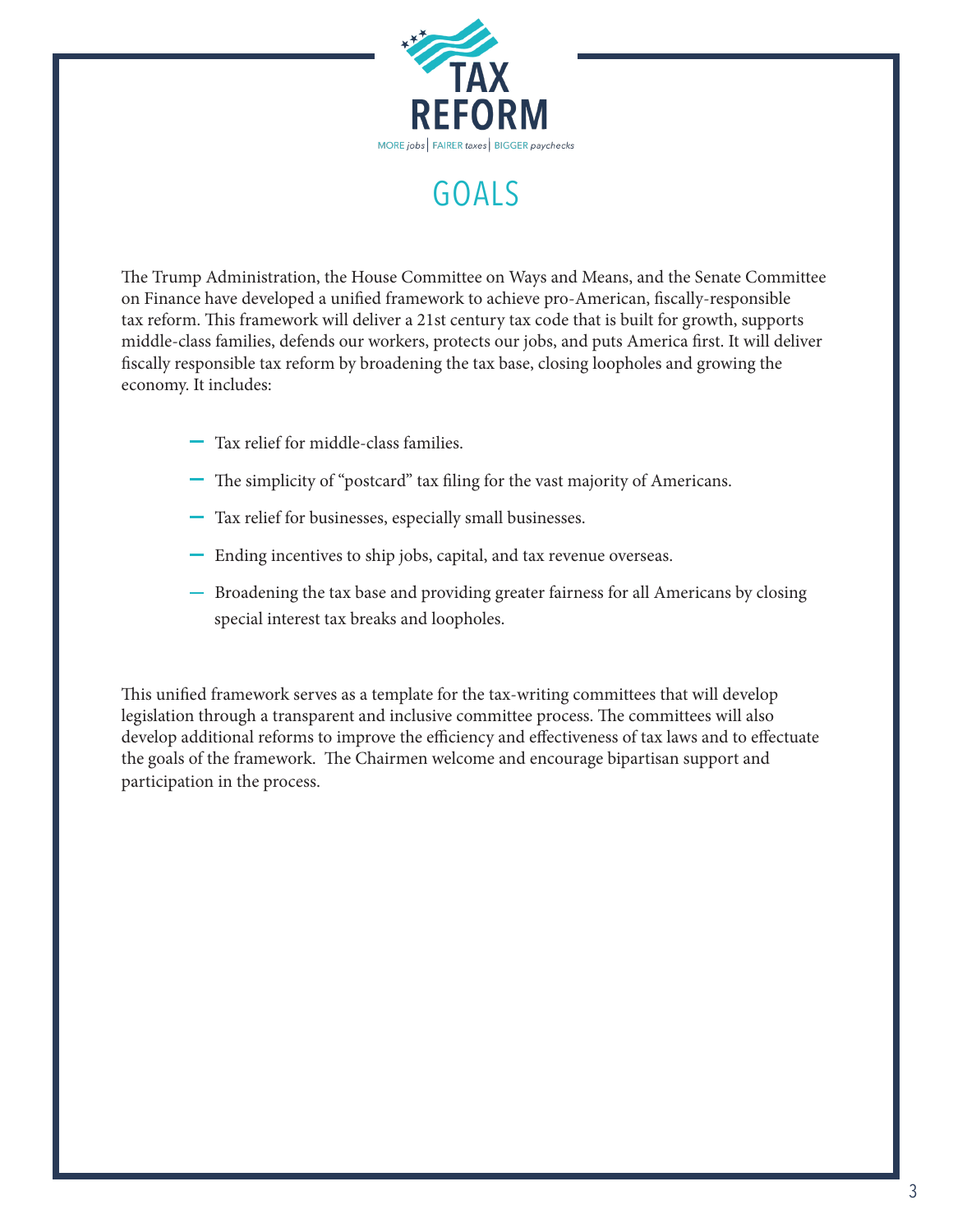

## GOALS

The Trump Administration, the House Committee on Ways and Means, and the Senate Committee on Finance have developed a unified framework to achieve pro-American, fiscally-responsible tax reform. This framework will deliver a 21st century tax code that is built for growth, supports middle-class families, defends our workers, protects our jobs, and puts America first. It will deliver fiscally responsible tax reform by broadening the tax base, closing loopholes and growing the economy. It includes:

- Tax relief for middle-class families.
- The simplicity of "postcard" tax filing for the vast majority of Americans.
- Tax relief for businesses, especially small businesses.
- Ending incentives to ship jobs, capital, and tax revenue overseas.
- Broadening the tax base and providing greater fairness for all Americans by closing special interest tax breaks and loopholes.

This unified framework serves as a template for the tax-writing committees that will develop legislation through a transparent and inclusive committee process. The committees will also develop additional reforms to improve the efficiency and effectiveness of tax laws and to effectuate the goals of the framework. The Chairmen welcome and encourage bipartisan support and participation in the process.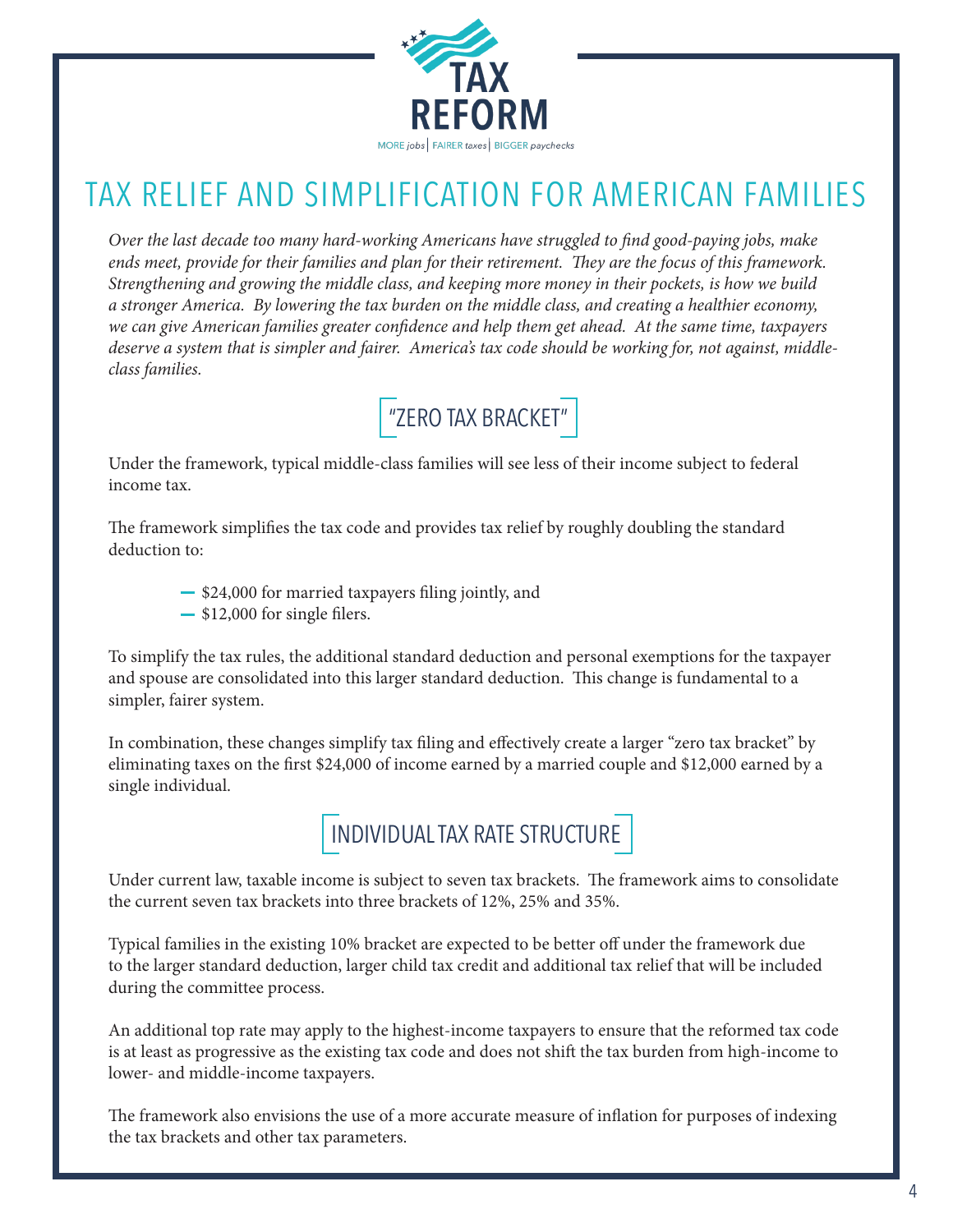

### TAX RELIEF AND SIMPLIFICATION FOR AMERICAN FAMILIES

*Over the last decade too many hard-working Americans have struggled to find good-paying jobs, make ends meet, provide for their families and plan for their retirement. They are the focus of this framework. Strengthening and growing the middle class, and keeping more money in their pockets, is how we build a stronger America. By lowering the tax burden on the middle class, and creating a healthier economy, we can give American families greater confidence and help them get ahead. At the same time, taxpayers deserve a system that is simpler and fairer. America's tax code should be working for, not against, middleclass families.* 



Under the framework, typical middle-class families will see less of their income subject to federal income tax.

The framework simplifies the tax code and provides tax relief by roughly doubling the standard deduction to:

- \$24,000 for married taxpayers filing jointly, and
- $-$  \$12,000 for single filers.

To simplify the tax rules, the additional standard deduction and personal exemptions for the taxpayer and spouse are consolidated into this larger standard deduction. This change is fundamental to a simpler, fairer system.

In combination, these changes simplify tax filing and effectively create a larger "zero tax bracket" by eliminating taxes on the first \$24,000 of income earned by a married couple and \$12,000 earned by a single individual.



Under current law, taxable income is subject to seven tax brackets. The framework aims to consolidate the current seven tax brackets into three brackets of 12%, 25% and 35%.

Typical families in the existing 10% bracket are expected to be better off under the framework due to the larger standard deduction, larger child tax credit and additional tax relief that will be included during the committee process.

An additional top rate may apply to the highest-income taxpayers to ensure that the reformed tax code is at least as progressive as the existing tax code and does not shift the tax burden from high-income to lower- and middle-income taxpayers.

The framework also envisions the use of a more accurate measure of inflation for purposes of indexing the tax brackets and other tax parameters.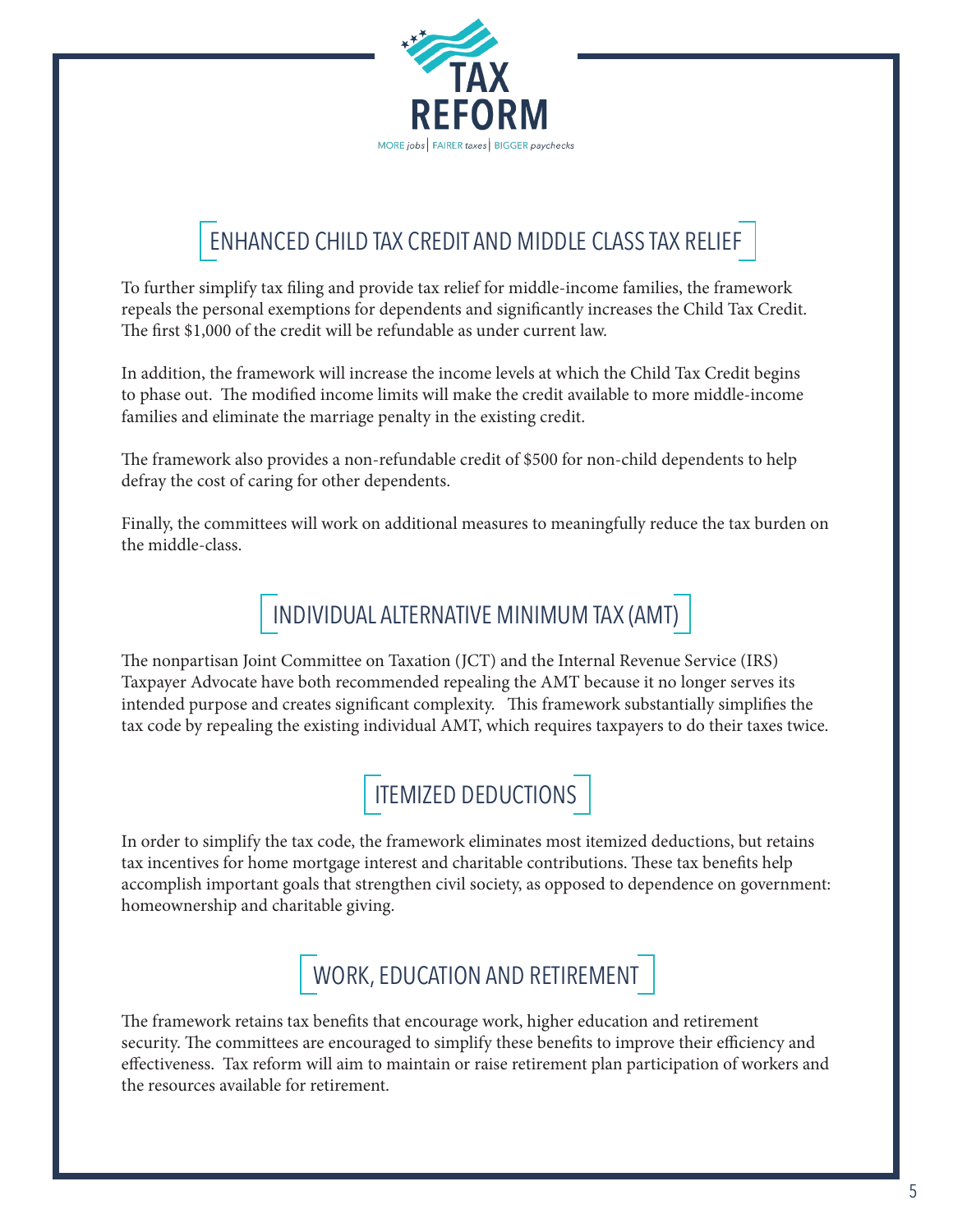

## ENHANCED CHILD TAX CREDIT AND MIDDLE CLASS TAX RELIEF

To further simplify tax filing and provide tax relief for middle-income families, the framework repeals the personal exemptions for dependents and significantly increases the Child Tax Credit. The first \$1,000 of the credit will be refundable as under current law.

In addition, the framework will increase the income levels at which the Child Tax Credit begins to phase out. The modified income limits will make the credit available to more middle-income families and eliminate the marriage penalty in the existing credit.

The framework also provides a non-refundable credit of \$500 for non-child dependents to help defray the cost of caring for other dependents.

Finally, the committees will work on additional measures to meaningfully reduce the tax burden on the middle-class.

#### INDIVIDUAL ALTERNATIVE MINIMUM TAX (AMT)

The nonpartisan Joint Committee on Taxation (JCT) and the Internal Revenue Service (IRS) Taxpayer Advocate have both recommended repealing the AMT because it no longer serves its intended purpose and creates significant complexity. This framework substantially simplifies the tax code by repealing the existing individual AMT, which requires taxpayers to do their taxes twice.

## ITEMIZED DEDUCTIONS

In order to simplify the tax code, the framework eliminates most itemized deductions, but retains tax incentives for home mortgage interest and charitable contributions. These tax benefits help accomplish important goals that strengthen civil society, as opposed to dependence on government: homeownership and charitable giving.

## WORK, EDUCATION AND RETIREMENT

The framework retains tax benefits that encourage work, higher education and retirement security. The committees are encouraged to simplify these benefits to improve their efficiency and effectiveness. Tax reform will aim to maintain or raise retirement plan participation of workers and the resources available for retirement.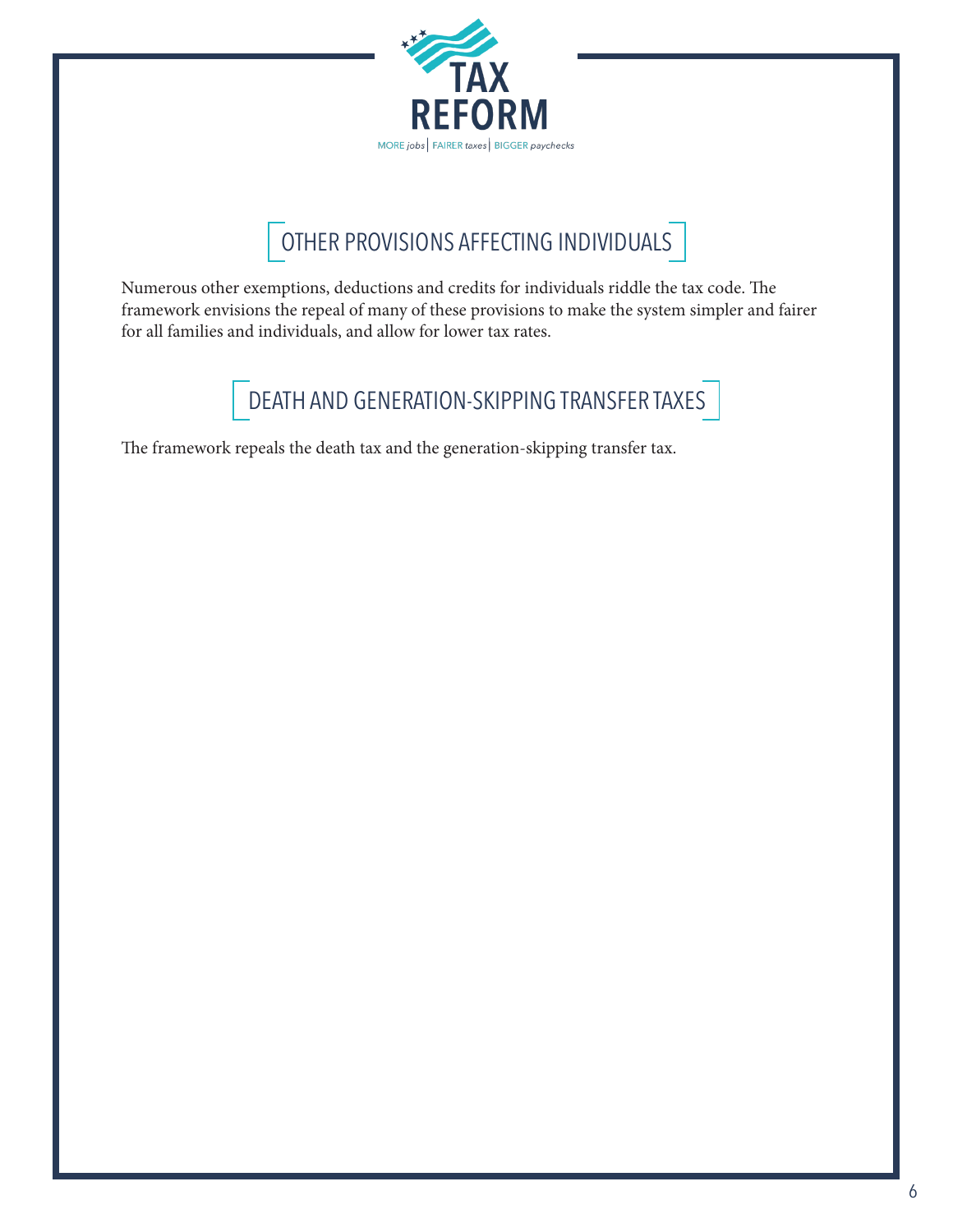

## OTHER PROVISIONS AFFECTING INDIVIDUALS

Numerous other exemptions, deductions and credits for individuals riddle the tax code. The framework envisions the repeal of many of these provisions to make the system simpler and fairer for all families and individuals, and allow for lower tax rates.



The framework repeals the death tax and the generation-skipping transfer tax.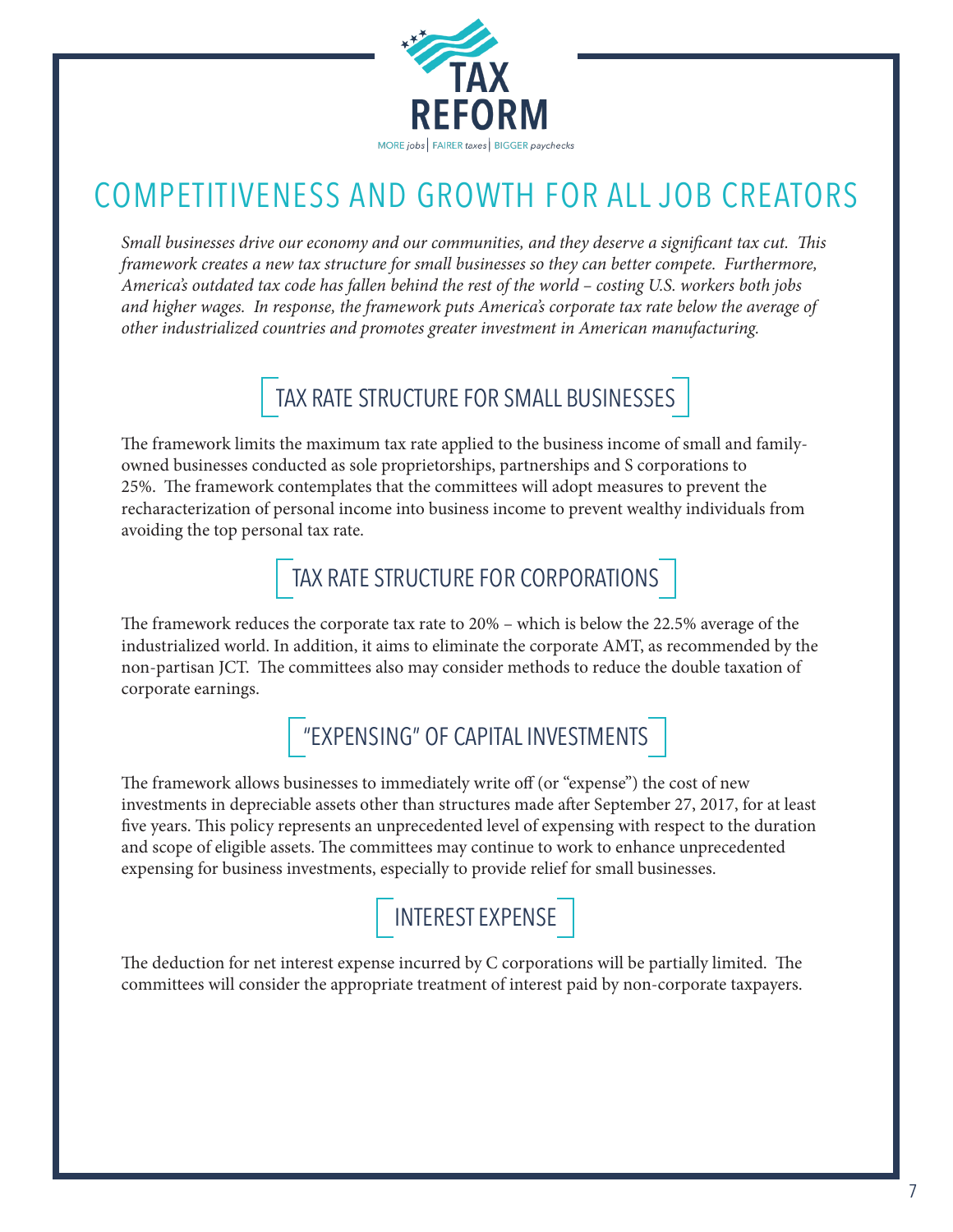

## COMPETITIVENESS AND GROWTH FOR ALL JOB CREATORS

*Small businesses drive our economy and our communities, and they deserve a significant tax cut. This framework creates a new tax structure for small businesses so they can better compete. Furthermore, America's outdated tax code has fallen behind the rest of the world – costing U.S. workers both jobs and higher wages. In response, the framework puts America's corporate tax rate below the average of other industrialized countries and promotes greater investment in American manufacturing.*

#### TAX RATE STRUCTURE FOR SMALL BUSINESSES

The framework limits the maximum tax rate applied to the business income of small and familyowned businesses conducted as sole proprietorships, partnerships and S corporations to 25%. The framework contemplates that the committees will adopt measures to prevent the recharacterization of personal income into business income to prevent wealthy individuals from avoiding the top personal tax rate.

#### TAX RATE STRUCTURE FOR CORPORATIONS

The framework reduces the corporate tax rate to 20% – which is below the 22.5% average of the industrialized world. In addition, it aims to eliminate the corporate AMT, as recommended by the non-partisan JCT. The committees also may consider methods to reduce the double taxation of corporate earnings.



The framework allows businesses to immediately write off (or "expense") the cost of new investments in depreciable assets other than structures made after September 27, 2017, for at least five years. This policy represents an unprecedented level of expensing with respect to the duration and scope of eligible assets. The committees may continue to work to enhance unprecedented expensing for business investments, especially to provide relief for small businesses.



The deduction for net interest expense incurred by C corporations will be partially limited. The committees will consider the appropriate treatment of interest paid by non-corporate taxpayers.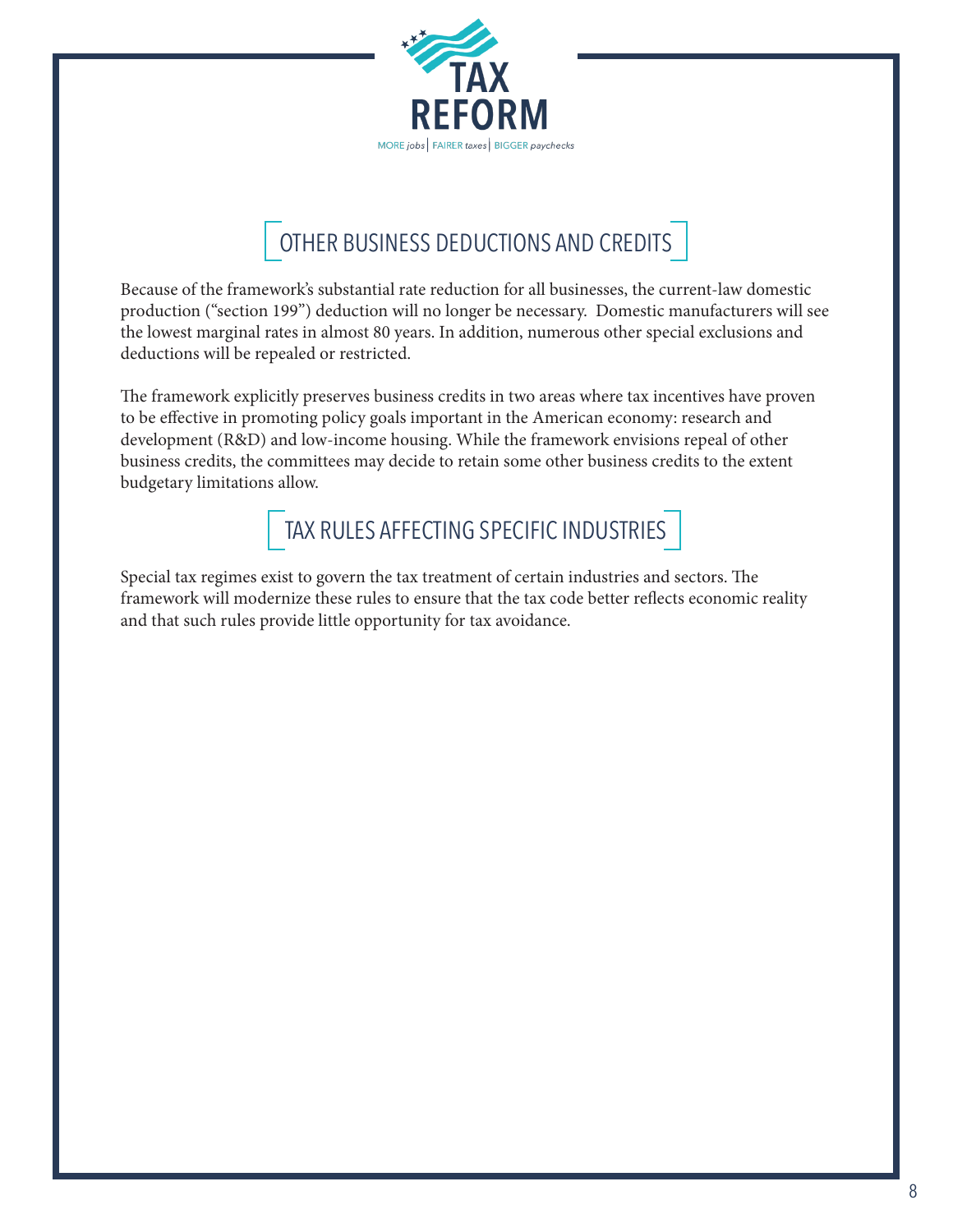

#### OTHER BUSINESS DEDUCTIONS AND CREDITS

Because of the framework's substantial rate reduction for all businesses, the current-law domestic production ("section 199") deduction will no longer be necessary. Domestic manufacturers will see the lowest marginal rates in almost 80 years. In addition, numerous other special exclusions and deductions will be repealed or restricted.

The framework explicitly preserves business credits in two areas where tax incentives have proven to be effective in promoting policy goals important in the American economy: research and development (R&D) and low-income housing. While the framework envisions repeal of other business credits, the committees may decide to retain some other business credits to the extent budgetary limitations allow.

#### TAX RULES AFFECTING SPECIFIC INDUSTRIES

Special tax regimes exist to govern the tax treatment of certain industries and sectors. The framework will modernize these rules to ensure that the tax code better reflects economic reality and that such rules provide little opportunity for tax avoidance.